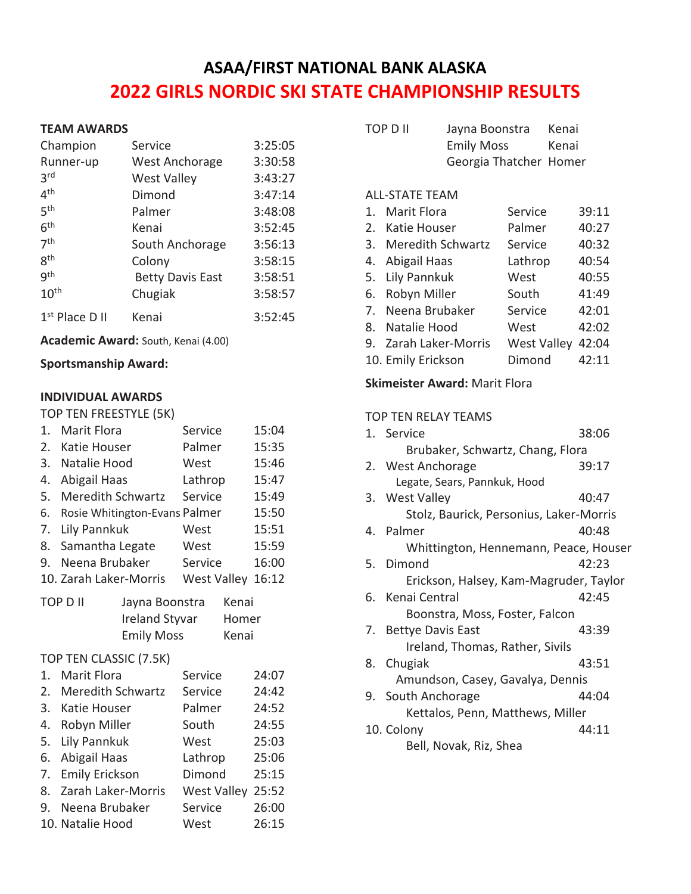# **ASAA/FIRST NATIONAL BANK ALASKA 2022 GIRLS NORDIC SKI STATE CHAMPIONSHIP RESULTS**

#### **TEAM AWARDS**

| Champion         | Service                 | 3:25:05 |
|------------------|-------------------------|---------|
| Runner-up        | West Anchorage          | 3:30:58 |
| 3 <sup>rd</sup>  | <b>West Valley</b>      | 3:43:27 |
| 4 <sup>th</sup>  | Dimond                  | 3:47:14 |
| 5 <sup>th</sup>  | Palmer                  | 3:48:08 |
| 6 <sup>th</sup>  | Kenai                   | 3:52:45 |
| 7 <sup>th</sup>  | South Anchorage         | 3:56:13 |
| gth              | Colony                  | 3:58:15 |
| gth              | <b>Betty Davis East</b> | 3:58:51 |
| 10 <sup>th</sup> | Chugiak                 | 3:58:57 |
| $1st$ Place D II | Kenai                   | 3:52:45 |

**Academic Award:** South, Kenai (4.00)

#### **Sportsmanship Award:**

#### **INDIVIDUAL AWARDS**

#### TOP TEN FREESTYLE (5K)

| 1. | Marit Flora                   | Service     | 15:04 |
|----|-------------------------------|-------------|-------|
| 2. | Katie Houser                  | Palmer      | 15:35 |
| 3. | Natalie Hood                  | West        | 15:46 |
| 4. | Abigail Haas                  | Lathrop     | 15:47 |
| 5. | <b>Meredith Schwartz</b>      | Service     | 15:49 |
| 6. | Rosie Whitington-Evans Palmer |             | 15:50 |
| 7. | Lily Pannkuk                  | West        | 15:51 |
| 8. | Samantha Legate               | West        | 15:59 |
| 9. | Neena Brubaker                | Service     | 16:00 |
|    | 10. Zarah Laker-Morris        | West Valley | 16:12 |
|    | TOP D II<br>Jayna Boonstra    | Kenai       |       |

| וו שושו | <b>JUVIIU DUVIIJUU</b> | 115511 <b>911</b> |
|---------|------------------------|-------------------|
|         | <b>Ireland Styvar</b>  | Homer             |
|         | <b>Emily Moss</b>      | Kenai             |

### TOP TEN CLASSIC (7.5K)

| $\mathbf{1}$ . | Marit Flora              | Service            | 24:07 |
|----------------|--------------------------|--------------------|-------|
| 2.             | <b>Meredith Schwartz</b> | Service            | 24:42 |
| 3.             | Katie Houser             | Palmer             | 24:52 |
| 4.             | Robyn Miller             | South              | 24:55 |
|                | 5. Lily Pannkuk          | West               | 25:03 |
|                | 6. Abigail Haas          | Lathrop            | 25:06 |
|                | 7. Emily Erickson        | Dimond             | 25:15 |
|                | 8. Zarah Laker-Morris    | <b>West Valley</b> | 25:52 |
|                | 9. Neena Brubaker        | Service            | 26:00 |
|                | 10. Natalie Hood         | West               | 26:15 |

|    | TOP D II              | Jayna Boonstra<br><b>Emily Moss</b> |         | Kenai<br>Kenai |       |
|----|-----------------------|-------------------------------------|---------|----------------|-------|
|    |                       | Georgia Thatcher Homer              |         |                |       |
|    | <b>ALL-STATE TEAM</b> |                                     |         |                |       |
|    | 1. Marit Flora        |                                     | Service |                | 39:11 |
|    | 2. Katie Houser       |                                     | Palmer  |                | 40:27 |
|    | 3. Meredith Schwartz  |                                     | Service |                | 40:32 |
|    | 4. Abigail Haas       |                                     | Lathrop |                | 40:54 |
| 5. | Lily Pannkuk          |                                     | West    |                | 40:55 |
| 6. | Robyn Miller          |                                     | South   |                | 41:49 |
|    | 7. Neena Brubaker     |                                     | Service |                | 42:01 |
| 8. | Natalie Hood          |                                     | West    |                | 42:02 |

# 10. Emily Erickson Dimond 42:11

9. Zarah Laker-Morris West Valley 42:04

## **Skimeister Award:** Marit Flora

#### TOP TEN RELAY TEAMS

| 1. Service                              | 38:06 |
|-----------------------------------------|-------|
| Brubaker, Schwartz, Chang, Flora        |       |
| 2. West Anchorage                       | 39:17 |
| Legate, Sears, Pannkuk, Hood            |       |
| 3. West Valley                          | 40:47 |
| Stolz, Baurick, Personius, Laker-Morris |       |
| 4. Palmer                               | 40:48 |
| Whittington, Hennemann, Peace, Houser   |       |
| 5. Dimond                               | 42:23 |
| Erickson, Halsey, Kam-Magruder, Taylor  |       |
| 6. Kenai Central                        | 42:45 |
| Boonstra, Moss, Foster, Falcon          |       |
| 7. Bettye Davis East                    | 43:39 |
| Ireland, Thomas, Rather, Sivils         |       |
| 8. Chugiak                              | 43:51 |
| Amundson, Casey, Gavalya, Dennis        |       |
| 9. South Anchorage                      | 44:04 |
| Kettalos, Penn, Matthews, Miller        |       |
| 10. Colony                              | 44:11 |
| Bell, Novak, Riz, Shea                  |       |
|                                         |       |